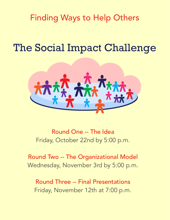Finding Ways to Help Others

# The Social Impact Challenge



Round One -- The Idea Friday, October 22nd by 5:00 p.m.

Round Two -- The Organizational Model Wednesday, November 3rd by 5:00 p.m.

Round Three -- Final Presentations Friday, November 12th at 7:00 p.m.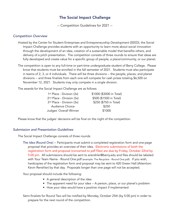# The Social Impact Challenge

-- Competition Guidelines for 2021 --

## *Competition Overview*

- Hosted by the Center for Student Enterprises and Entrepreneurship Development (SEED), the Social Impact Challenge provides students with an opportunity to learn more about social innovation through the development of an idea, creation of a sustainable model that benefits others, and delivery of a pitch presentation. The competition consists of three rounds to ensure that ideas are fully developed and create value for a specific group of people, a place/community, or our planet.
- The competition is open to any full-time or part-time undergraduate student of Berry College. Please know that students must be enrolled in the fall semester of 2021. Students must also participate in teams of 2, 3, or 4 individuals. There will be three divisions -- the people, places, and planet divisions -- and three finalists from each one will compete for cash prizes totaling \$6,500 on November 12, 2021. Students may only compete in a single division.

The awards for the Social Impact Challenge are as follows:

| 1 <sup>st</sup> Place - Division (3x) | \$1000 (\$3000 in Total) |
|---------------------------------------|--------------------------|
| $2nd$ Place - Division (3x)           | \$500 (\$1500 in Total)  |
| 3rd Place - Division (3x)             | \$250 (\$750 in Total)   |
| Audience Choice                       | \$250                    |
| Judges' Overall Winner                | \$1000                   |

Please know that the judges' decisions will be final on the night of the competition.

### *Submission and Presentation Guidelines*

The Social Impact Challenge consists of three rounds:

The Idea (Round One) -- Participants must submit a completed registration form and one-page proposal that provides an overview of their idea. Electronic submissions of both the registration form and proposal (converted to pdf files) are due by Friday, October 22nd by 5:00 pm. All submissions should be sent to erenshler@berry.edu and files should be labeled with Your Team Name - Round One.pdf (example: The Recyclers - Round One.pdf). If you wish, hardcopies of the registration form and proposal may be sent to 420 Green Hall (Attention: Kevin Renshler) by that day. Proposals longer than one page will not be accepted.

Your proposal should include the following:

- A general description of the idea
- The apparent need for your idea -- A person, place, or our planet's problem
- How your idea would have a positive impact if implemented

Semi-finalists for Round Two will be notified by Monday, October 25th (by 5:00 pm) in order to prepare for the next round of the competition.